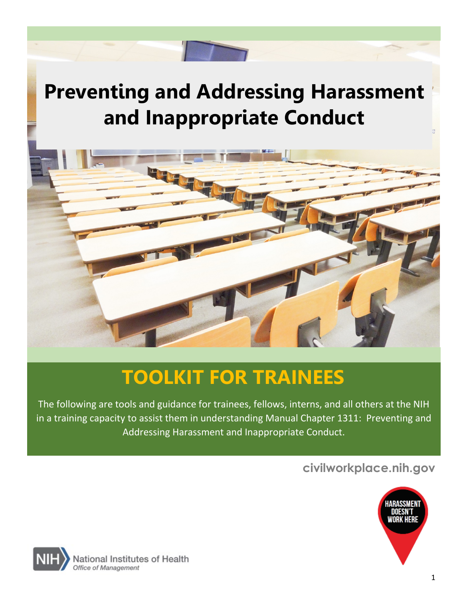# **Preventing and Addressing Harassment and Inappropriate Conduct**



# **TOOLKIT FOR TRAINEES**

The following are tools and guidance for trainees, fellows, interns, and all others at the NIH in a training capacity to assist them in understanding Manual Chapter 1311: Preventing and Addressing Harassment and Inappropriate Conduct.

# **civilworkplace.nih.gov**



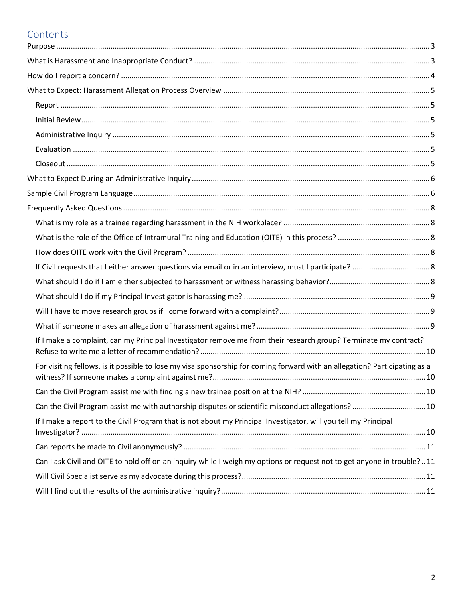# Contents

| If I make a complaint, can my Principal Investigator remove me from their research group? Terminate my contract?           |  |
|----------------------------------------------------------------------------------------------------------------------------|--|
| For visiting fellows, is it possible to lose my visa sponsorship for coming forward with an allegation? Participating as a |  |
|                                                                                                                            |  |
| Can the Civil Program assist me with authorship disputes or scientific misconduct allegations?  10                         |  |
| If I make a report to the Civil Program that is not about my Principal Investigator, will you tell my Principal            |  |
|                                                                                                                            |  |
| Can I ask Civil and OITE to hold off on an inquiry while I weigh my options or request not to get anyone in trouble?11     |  |
|                                                                                                                            |  |
|                                                                                                                            |  |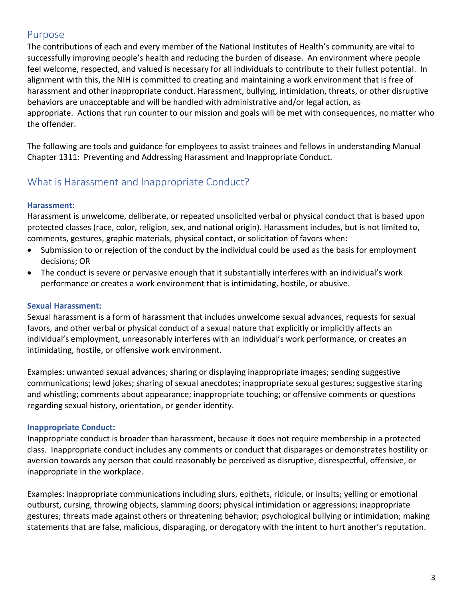# <span id="page-2-0"></span>Purpose

The contributions of each and every member of the National Institutes of Health's community are vital to successfully improving people's health and reducing the burden of disease. An environment where people feel welcome, respected, and valued is necessary for all individuals to contribute to their fullest potential. In alignment with this, the NIH is committed to creating and maintaining a work environment that is free of harassment and other inappropriate conduct. Harassment, bullying, intimidation, threats, or other disruptive behaviors are unacceptable and will be handled with administrative and/or legal action, as appropriate. Actions that run counter to our [mission and goals](https://www.nih.gov/about-nih/what-we-do/mission-goals) will be met with consequences, no matter who the offender.

The following are tools and guidance for employees to assist trainees and fellows in understanding Manual Chapter 1311: Preventing and Addressing Harassment and Inappropriate Conduct.

# <span id="page-2-1"></span>What is Harassment and Inappropriate Conduct?

# **Harassment:**

Harassment is unwelcome, deliberate, or repeated unsolicited verbal or physical conduct that is based upon protected classes (race, color, religion, sex, and national origin). Harassment includes, but is not limited to, comments, gestures, graphic materials, physical contact, or solicitation of favors when:

- Submission to or rejection of the conduct by the individual could be used as the basis for employment decisions; OR
- The conduct is severe or pervasive enough that it substantially interferes with an individual's work performance or creates a work environment that is intimidating, hostile, or abusive.

# **Sexual Harassment:**

Sexual harassment is a form of harassment that includes unwelcome sexual advances, requests for sexual favors, and other verbal or physical conduct of a sexual nature that explicitly or implicitly affects an individual's employment, unreasonably interferes with an individual's work performance, or creates an intimidating, hostile, or offensive work environment.

Examples: unwanted sexual advances; sharing or displaying inappropriate images; sending suggestive communications; lewd jokes; sharing of sexual anecdotes; inappropriate sexual gestures; suggestive staring and whistling; comments about appearance; inappropriate touching; or offensive comments or questions regarding sexual history, orientation, or gender identity.

# **Inappropriate Conduct:**

Inappropriate conduct is broader than harassment, because it does not require membership in a protected class. Inappropriate conduct includes any comments or conduct that disparages or demonstrates hostility or aversion towards any person that could reasonably be perceived as disruptive, disrespectful, offensive, or inappropriate in the workplace.

Examples: Inappropriate communications including slurs, epithets, ridicule, or insults; yelling or emotional outburst, cursing, throwing objects, slamming doors; physical intimidation or aggressions; inappropriate gestures; threats made against others or threatening behavior; psychological bullying or intimidation; making statements that are false, malicious, disparaging, or derogatory with the intent to hurt another's reputation.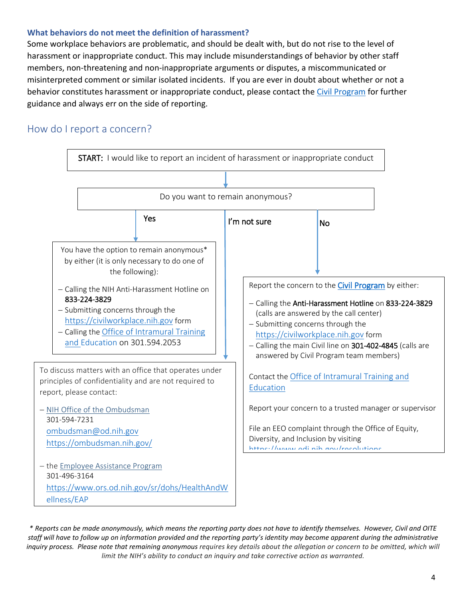### **What behaviors do not meet the definition of harassment?**

<span id="page-3-0"></span>Some workplace behaviors are problematic, and should be dealt with, but do not rise to the level of harassment or inappropriate conduct. This may include misunderstandings of behavior by other staff members, non-threatening and non-inappropriate arguments or disputes, a miscommunicated or misinterpreted comment or similar isolated incidents. If you are ever in doubt about whether or not a behavior constitutes harassment or inappropriate conduct, please contact the [Civil Program](https://civilworkplace.nih.gov/) for further guidance and always err on the side of reporting.

# How do I report a concern?



*\* Reports can be made anonymously, which means the reporting party does not have to identify themselves. However, Civil and OITE staff will have to follow up on information provided and the reporting party's identity may become apparent during the administrative*  inquiry process. Please note that remaining anonymous requires key details about the allegation or concern to be omitted, which will *limit the NIH's ability to conduct an inquiry and take corrective action as warranted.*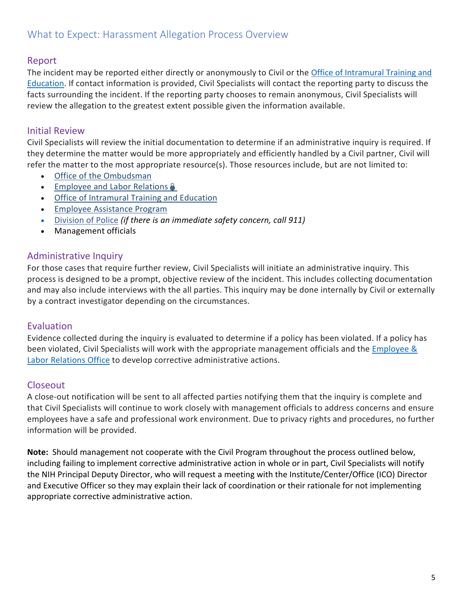# <span id="page-4-1"></span><span id="page-4-0"></span>Report

The incident may be reported either directly or anonymously to Civil or the Office of Intramural Training and [Education.](https://www.training.nih.gov/) If contact information is provided, Civil Specialists will contact the reporting party to discuss the facts surrounding the incident. If the reporting party chooses to remain anonymous, Civil Specialists will review the allegation to the greatest extent possible given the information available.

# <span id="page-4-2"></span>Initial Review

Civil Specialists will review the initial documentation to determine if an administrative inquiry is required. If they determine the matter would be more appropriately and efficiently handled by a Civil partner, Civil will refer the matter to the most appropriate resource(s). Those resources include, but are not limited to:

- [Office of the Ombudsman](https://ombudsman.nih.gov/)
- [Employee and Labor Relations](https://intrahr.od.nih.gov/policyguidance/er/er.htm) &
- [Office of Intramural Training and Education](https://www.training.nih.gov/)
- [Employee Assistance Program](https://www.ors.od.nih.gov/sr/dohs/HealthAndWellness/EAP/Pages/index.aspx)
- [Division of Police](https://www.ors.od.nih.gov/ser/dp/Pages/default.aspx) *(if there is an immediate safety concern, call 911)*
- Management officials

# <span id="page-4-3"></span>Administrative Inquiry

For those cases that require further review, Civil Specialists will initiate an administrative inquiry. This process is designed to be a prompt, objective review of the incident. This includes collecting documentation and may also include interviews with the all parties. This inquiry may be done internally by Civil or externally by a contract investigator depending on the circumstances.

## <span id="page-4-4"></span>**Evaluation**

Evidence collected during the inquiry is evaluated to determine if a policy has been violated. If a policy has been violated, Civil Specialists will work with the appropriate management officials and the Employee & [Labor Relations Office](https://intrahr.od.nih.gov/policyguidance/er/er.htm) to develop corrective administrative actions.

## <span id="page-4-5"></span>Closeout

A close-out notification will be sent to all affected parties notifying them that the inquiry is complete and that Civil Specialists will continue to work closely with management officials to address concerns and ensure employees have a safe and professional work environment. Due to privacy rights and procedures, no further information will be provided.

**Note:** Should management not cooperate with the Civil Program throughout the process outlined below, including failing to implement corrective administrative action in whole or in part, Civil Specialists will notify the NIH Principal Deputy Director, who will request a meeting with the Institute/Center/Office (ICO) Director and Executive Officer so they may explain their lack of coordination or their rationale for not implementing appropriate corrective administrative action.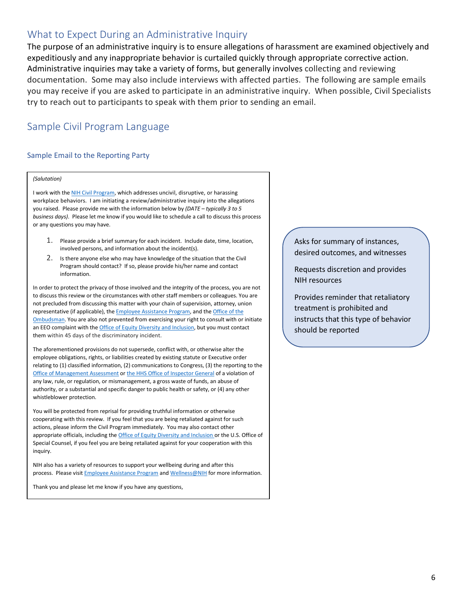# <span id="page-5-0"></span>What to Expect During an Administrative Inquiry

The purpose of an administrative inquiry is to ensure allegations of harassment are examined objectively and expeditiously and any inappropriate behavior is curtailed quickly through appropriate corrective action. Administrative inquiries may take a variety of forms, but generally involves collecting and reviewing documentation. Some may also include interviews with affected parties. The following are sample emails you may receive if you are asked to participate in an administrative inquiry. When possible, Civil Specialists try to reach out to participants to speak with them prior to sending an email.

# <span id="page-5-1"></span>Sample Civil Program Language

#### Sample Email to the Reporting Party

#### *(Salutation)*

I work with th[e NIH Civil Program,](https://hr.nih.gov/working-nih/civil) which addresses uncivil, disruptive, or harassing workplace behaviors. I am initiating a review/administrative inquiry into the allegations you raised. Please provide me with the information below by *(DATE – typically 3 to 5 business days)*. Please let me know if you would like to schedule a call to discuss this process or any questions you may have.

- 1. Please provide a brief summary for each incident. Include date, time, location, involved persons, and information about the incident(s).
- 2. Is there anyone else who may have knowledge of the situation that the Civil Program should contact? If so, please provide his/her name and contact information.

In order to protect the privacy of those involved and the integrity of the process, you are not to discuss this review or the circumstances with other staff members or colleagues. You are not precluded from discussing this matter with your chain of supervision, attorney, union representative (if applicable), the **Employee Assistance Program**, and the **Office of the** [Ombudsman.](https://ombudsman.nih.gov/) You are also not prevented from exercising your right to consult with or initiate an EEO complaint with the **Office of Equity Diversity and Inclusion**, but you must contact them within 45 days of the discriminatory incident.

The aforementioned provisions do not supersede, conflict with, or otherwise alter the employee obligations, rights, or liabilities created by existing statute or Executive order relating to (1) classified information, (2) communications to Congress, (3) the reporting to the [Office of Management Assessment](https://oma.od.nih.gov/Pages/Home.aspx) o[r the HHS Office of Inspector General](https://oig.hhs.gov/) of a violation of any law, rule, or regulation, or mismanagement, a gross waste of funds, an abuse of authority, or a substantial and specific danger to public health or safety, or (4) any other whistleblower protection.

You will be protected from reprisal for providing truthful information or otherwise cooperating with this review. If you feel that you are being retaliated against for such actions, please inform the Civil Program immediately. You may also contact other appropriate officials, including th[e Office of Equity Diversity and](https://www.edi.nih.gov/) Inclusion or the U.S. Office of Special Counsel, if you feel you are being retaliated against for your cooperation with this inquiry.

NIH also has a variety of resources to support your wellbeing during and after this process. Please visit **Employee Assistance Program an[d Wellness@NIH](https://wellnessatnih.ors.od.nih.gov/)** for more information.

Thank you and please let me know if you have any questions,

Asks for summary of instances, desired outcomes, and witnesses

Requests discretion and provides NIH resources

Provides reminder that retaliatory treatment is prohibited and instructs that this type of behavior should be reported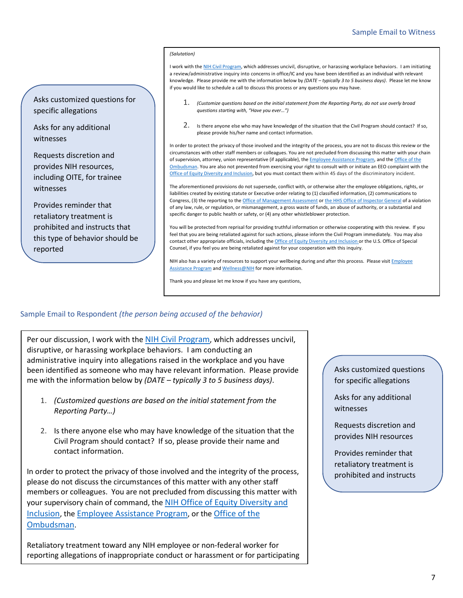#### Sample Email to Witness

#### *(Salutation)*

I work with th[e NIH Civil Program,](https://hr.nih.gov/working-nih/civil) which addresses uncivil, disruptive, or harassing workplace behaviors. I am initiating a review/administrative inquiry into concerns in office/IC and you have been identified as an individual with relevant knowledge. Please provide me with the information below by *(DATE – typically 3 to 5 business days)*. Please let me know if you would like to schedule a call to discuss this process or any questions you may have.

- 1. *(Customize questions based on the initial statement from the Reporting Party, do not use overly broad questions starting with, "Have you ever…")*
- 2. Is there anyone else who may have knowledge of the situation that the Civil Program should contact? If so, please provide his/her name and contact information.

In order to protect the privacy of those involved and the integrity of the process, you are not to discuss this review or the circumstances with other staff members or colleagues. You are not precluded from discussing this matter with your chain of supervision, attorney, union representative (if applicable), the *Employee Assistance Program*, and the Office of the [Ombudsman.](https://ombudsman.nih.gov/) You are also not prevented from exercising your right to consult with or initiate an EEO complaint with the [Office of Equity Diversity and Inclusion,](https://www.edi.nih.gov/) but you must contact them within 45 days of the discriminatory incident.

The aforementioned provisions do not supersede, conflict with, or otherwise alter the employee obligations, rights, or liabilities created by existing statute or Executive order relating to (1) classified information, (2) communications to Congress, (3) the reporting to th[e Office of Management Assessment](https://oma.od.nih.gov/Pages/Home.aspx) o[r the HHS Office of Inspector General](https://oig.hhs.gov/) of a violation of any law, rule, or regulation, or mismanagement, a gross waste of funds, an abuse of authority, or a substantial and specific danger to public health or safety, or (4) any other whistleblower protection.

You will be protected from reprisal for providing truthful information or otherwise cooperating with this review. If you feel that you are being retaliated against for such actions, please inform the Civil Program immediately. You may also contact other appropriate officials, including th[e Office of Equity Diversity and Inclusion](https://www.edi.nih.gov/) or the U.S. Office of Special Counsel, if you feel you are being retaliated against for your cooperation with this inquiry.

NIH also has a variety of resources to support your wellbeing during and after this process. Please visit Employee [Assistance Program](https://www.ors.od.nih.gov/sr/dohs/HealthAndWellness/EAP/Pages/index.aspx) an[d Wellness@NIH](https://wellnessatnih.ors.od.nih.gov/) for more information.

Thank you and please let me know if you have any questions,

#### Sample Email to Respondent *(the person being accused of the behavior)*

Asks customized questions for

specific allegations

witnesses

witnesses

reported

Asks for any additional

Requests discretion and provides NIH resources, including OITE, for trainee

Provides reminder that retaliatory treatment is prohibited and instructs that this type of behavior should be

Per our discussion, I work with the [NIH Civil Program,](https://hr.nih.gov/working-nih/civil) which addresses uncivil, disruptive, or harassing workplace behaviors. I am conducting an administrative inquiry into allegations raised in the workplace and you have been identified as someone who may have relevant information. Please provide me with the information below by *(DATE – typically 3 to 5 business days)*.

- 1. *(Customized questions are based on the initial statement from the Reporting Party…)*
- 2. Is there anyone else who may have knowledge of the situation that the Civil Program should contact? If so, please provide their name and contact information.

In order to protect the privacy of those involved and the integrity of the process, please do not discuss the circumstances of this matter with any other staff members or colleagues. You are not precluded from discussing this matter with your supervisory chain of command, the [NIH Office of Equity Diversity and](https://www.edi.nih.gov/)  [Inclusion,](https://www.edi.nih.gov/) th[e Employee Assistance Program,](https://www.ors.od.nih.gov/sr/dohs/HealthAndWellness/EAP/Pages/index.aspx) or the [Office of the](https://ombudsman.nih.gov/)  [Ombudsman.](https://ombudsman.nih.gov/)

Retaliatory treatment toward any NIH employee or non-federal worker for reporting allegations of inappropriate conduct or harassment or for participating

I

#### Asks customized questions for specific allegations

Asks for any additional witnesses

Requests discretion and provides NIH resources

Provides reminder that retaliatory treatment is prohibited and instructs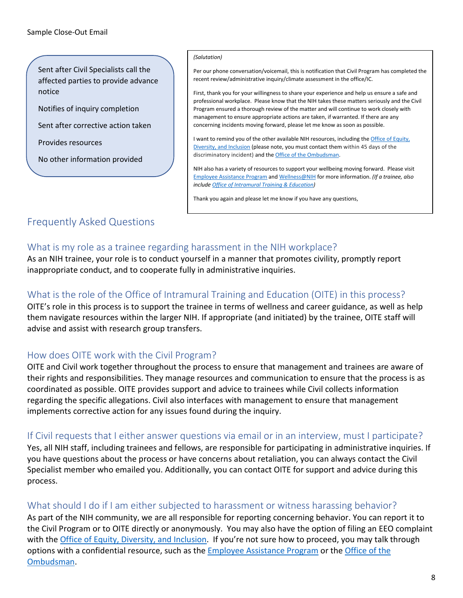Sent after Civil Specialists call the affected parties to provide advance notice

Notifies of inquiry completion

Sent after corrective action taken

Provides resources

 $\overline{a}$ 

No other information provided

#### *(Salutation)*

Per our phone conversation/voicemail, this is notification that Civil Program has completed the recent review/administrative inquiry/climate assessment in the office/IC.

First, thank you for your willingness to share your experience and help us ensure a safe and professional workplace. Please know that the NIH takes these matters seriously and the Civil Program ensured a thorough review of the matter and will continue to work closely with management to ensure appropriate actions are taken, if warranted. If there are any concerning incidents moving forward, please let me know as soon as possible.

I want to remind you of the other available NIH resources, including th[e Office of Equity,](https://www.edi.nih.gov/)  [Diversity, and Inclusion](https://www.edi.nih.gov/) (please note, you must contact them within 45 days of the discriminatory incident) and th[e Office of the Ombudsman.](https://ombudsman.nih.gov/)

NIH also has a variety of resources to support your wellbeing moving forward. Please visit [Employee Assistance Program](https://www.ors.od.nih.gov/sr/dohs/HealthAndWellness/EAP/Pages/index.aspx) an[d Wellness@NIH](https://wellnessatnih.ors.od.nih.gov/) for more information. *(If a trainee, also include [Office of Intramural Training & Education\)](https://www.training.nih.gov/)*

Thank you again and please let me know if you have any questions,

# <span id="page-7-0"></span>Frequently Asked Questions

# <span id="page-7-1"></span>What is my role as a trainee regarding harassment in the NIH workplace?

As an NIH trainee, your role is to conduct yourself in a manner that promotes civility, promptly report inappropriate conduct, and to cooperate fully in administrative inquiries.

# <span id="page-7-2"></span>What is the role of the Office of Intramural Training and Education (OITE) in this process?

OITE's role in this process is to support the trainee in terms of wellness and career guidance, as well as help them navigate resources within the larger NIH. If appropriate (and initiated) by the trainee, OITE staff will advise and assist with research group transfers.

## <span id="page-7-3"></span>How does OITE work with the Civil Program?

OITE and Civil work together throughout the process to ensure that management and trainees are aware of their rights and responsibilities. They manage resources and communication to ensure that the process is as coordinated as possible. OITE provides support and advice to trainees while Civil collects information regarding the specific allegations. Civil also interfaces with management to ensure that management implements corrective action for any issues found during the inquiry.

## <span id="page-7-4"></span>If Civil requests that I either answer questions via email or in an interview, must I participate?

Yes, all NIH staff, including trainees and fellows, are responsible for participating in administrative inquiries. If you have questions about the process or have concerns about retaliation, you can always contact the Civil Specialist member who emailed you. Additionally, you can contact OITE for support and advice during this process.

## <span id="page-7-5"></span>What should I do if I am either subjected to harassment or witness harassing behavior?

As part of the NIH community, we are all responsible for reporting concerning behavior. You can report it to the Civil Program or to OITE directly or anonymously. You may also have the option of filing an EEO complaint with the [Office of Equity, Diversity, and Inclusion.](https://www.edi.nih.gov/) If you're not sure how to proceed, you may talk through options with a confidential resource, such as the **Employee Assistance Program** or the Office of the [Ombudsman.](https://ombudsman.nih.gov/)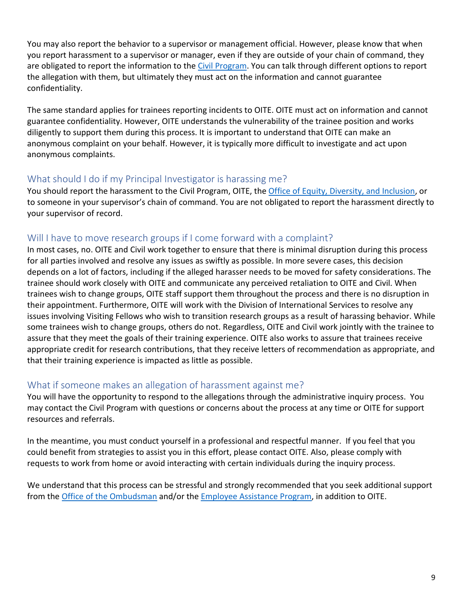You may also report the behavior to a supervisor or management official. However, please know that when you report harassment to a supervisor or manager, even if they are outside of your chain of command, they are obligated to report the information to the Civil Program. You can talk through different options to report the allegation with them, but ultimately they must act on the information and cannot guarantee confidentiality.

The same standard applies for trainees reporting incidents to OITE. OITE must act on information and cannot guarantee confidentiality. However, OITE understands the vulnerability of the trainee position and works diligently to support them during this process. It is important to understand that OITE can make an anonymous complaint on your behalf. However, it is typically more difficult to investigate and act upon anonymous complaints.

## <span id="page-8-0"></span>What should I do if my Principal Investigator is harassing me?

You should report the harassment to the Civil Program, OITE, the [Office of Equity, Diversity, and Inclusion,](https://www.edi.nih.gov/) or to someone in your supervisor's chain of command. You are not obligated to report the harassment directly to your supervisor of record.

# <span id="page-8-1"></span>Will I have to move research groups if I come forward with a complaint?

In most cases, no. OITE and Civil work together to ensure that there is minimal disruption during this process for all parties involved and resolve any issues as swiftly as possible. In more severe cases, this decision depends on a lot of factors, including if the alleged harasser needs to be moved for safety considerations. The trainee should work closely with OITE and communicate any perceived retaliation to OITE and Civil. When trainees wish to change groups, OITE staff support them throughout the process and there is no disruption in their appointment. Furthermore, OITE will work with the Division of International Services to resolve any issues involving Visiting Fellows who wish to transition research groups as a result of harassing behavior. While some trainees wish to change groups, others do not. Regardless, OITE and Civil work jointly with the trainee to assure that they meet the goals of their training experience. OITE also works to assure that trainees receive appropriate credit for research contributions, that they receive letters of recommendation as appropriate, and that their training experience is impacted as little as possible.

# <span id="page-8-2"></span>What if someone makes an allegation of harassment against me?

You will have the opportunity to respond to the allegations through the administrative inquiry process. You may contact the Civil Program with questions or concerns about the process at any time or OITE for support resources and referrals.

In the meantime, you must conduct yourself in a professional and respectful manner. If you feel that you could benefit from strategies to assist you in this effort, please contact OITE. Also, please comply with requests to work from home or avoid interacting with certain individuals during the inquiry process.

We understand that this process can be stressful and strongly recommended that you seek additional support from the [Office of the Ombudsman](https://ombudsman.nih.gov/) and/or th[e Employee Assistance Program,](https://www.ors.od.nih.gov/sr/dohs/HealthAndWellness/EAP/Pages/index.aspx) in addition to OITE.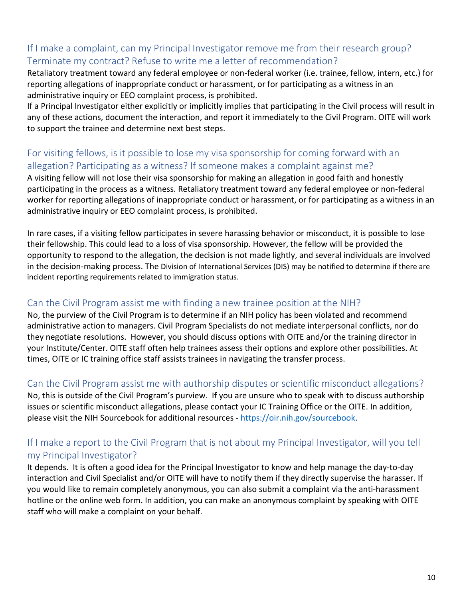# <span id="page-9-0"></span>If I make a complaint, can my Principal Investigator remove me from their research group? Terminate my contract? Refuse to write me a letter of recommendation?

Retaliatory treatment toward any federal employee or non-federal worker (i.e. trainee, fellow, intern, etc.) for reporting allegations of inappropriate conduct or harassment, or for participating as a witness in an administrative inquiry or EEO complaint process, is prohibited.

If a Principal Investigator either explicitly or implicitly implies that participating in the Civil process will result in any of these actions, document the interaction, and report it immediately to the Civil Program. OITE will work to support the trainee and determine next best steps.

# <span id="page-9-1"></span>For visiting fellows, is it possible to lose my visa sponsorship for coming forward with an allegation? Participating as a witness? If someone makes a complaint against me?

A visiting fellow will not lose their visa sponsorship for making an allegation in good faith and honestly participating in the process as a witness. Retaliatory treatment toward any federal employee or non-federal worker for reporting allegations of inappropriate conduct or harassment, or for participating as a witness in an administrative inquiry or EEO complaint process, is prohibited.

In rare cases, if a visiting fellow participates in severe harassing behavior or misconduct, it is possible to lose their fellowship. This could lead to a loss of visa sponsorship. However, the fellow will be provided the opportunity to respond to the allegation, the decision is not made lightly, and several individuals are involved in the decision-making process. The Division of International Services (DIS) may be notified to determine if there are incident reporting requirements related to immigration status.

# <span id="page-9-2"></span>Can the Civil Program assist me with finding a new trainee position at the NIH?

No, the purview of the Civil Program is to determine if an NIH policy has been violated and recommend administrative action to managers. Civil Program Specialists do not mediate interpersonal conflicts, nor do they negotiate resolutions. However, you should discuss options with OITE and/or the training director in your Institute/Center. OITE staff often help trainees assess their options and explore other possibilities. At times, OITE or IC training office staff assists trainees in navigating the transfer process.

## <span id="page-9-3"></span>Can the Civil Program assist me with authorship disputes or scientific misconduct allegations?

No, this is outside of the Civil Program's purview. If you are unsure who to speak with to discuss authorship issues or scientific misconduct allegations, please contact your IC Training Office or the OITE. In addition, please visit the NIH Sourcebook for additional resources - [https://oir.nih.gov/sourcebook.](https://oir.nih.gov/sourcebook)

# <span id="page-9-4"></span>If I make a report to the Civil Program that is not about my Principal Investigator, will you tell my Principal Investigator?

It depends. It is often a good idea for the Principal Investigator to know and help manage the day-to-day interaction and Civil Specialist and/or OITE will have to notify them if they directly supervise the harasser. If you would like to remain completely anonymous, you can also submit a complaint via the anti-harassment hotline or the online web form. In addition, you can make an anonymous complaint by speaking with OITE staff who will make a complaint on your behalf.